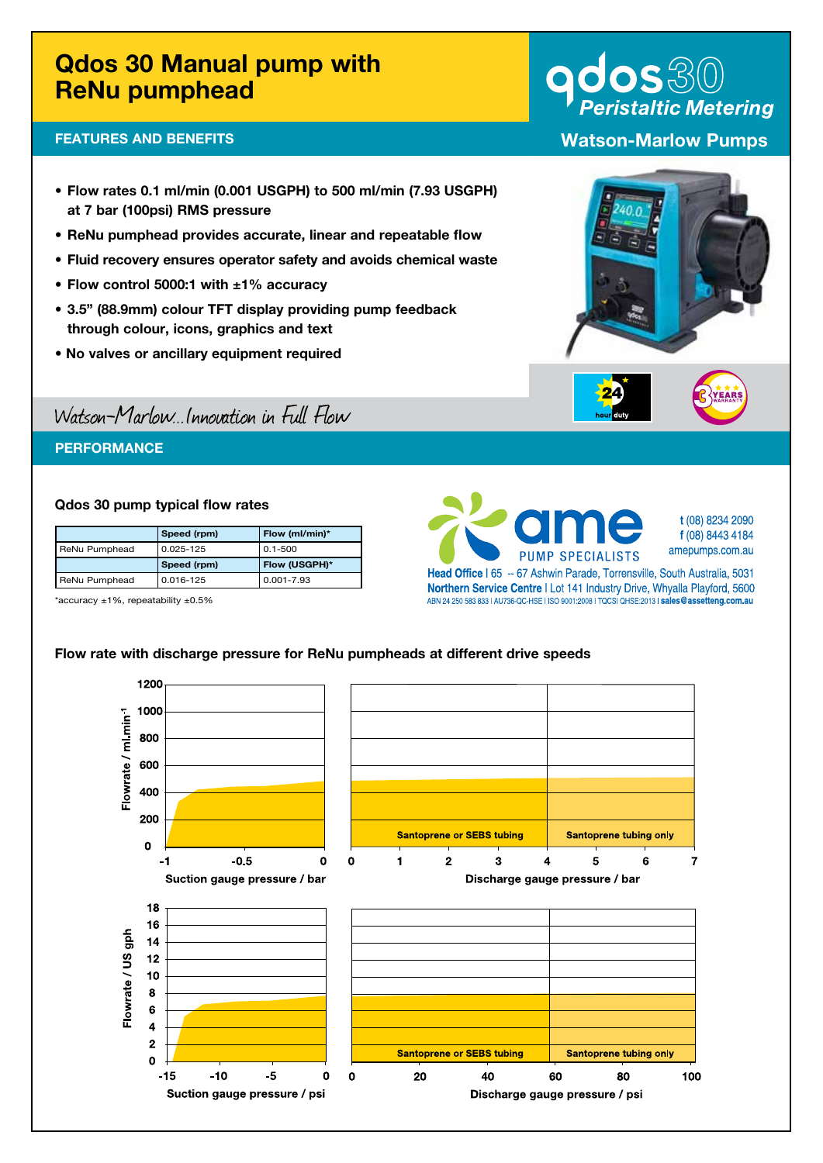# Qdos 30 Manual pump with ReNu pumphead

## FEATURES AND BENEFITS

- Flow rates 0.1 ml/min (0.001 USGPH) to 500 ml/min (7.93 USGPH) at 7 bar (100psi) RMS pressure
- ReNu pumphead provides accurate, linear and repeatable flow
- Fluid recovery ensures operator safety and avoids chemical waste
- Flow control 5000:1 with ±1% accuracy
- 3.5" (88.9mm) colour TFT display providing pump feedback through colour, icons, graphics and text
- No valves or ancillary equipment required

# Watson-Marlow...Innovation in Full Flow

## **PERFORMANCE**

#### Qdos 30 pump typical flow rates

|               | Speed (rpm) | Flow (ml/min)* |
|---------------|-------------|----------------|
| ReNu Pumphead | 0.025-125   | $0.1 - 500$    |
|               | Speed (rpm) | Flow (USGPH)*  |
| ReNu Pumphead | 0.016-125   | $0.001 - 7.93$ |

\*accuracy ±1%, repeatability ±0.5%



**t**(08)82342090 **f**(08)84434184 amepumps.com.au

Head Office | 65 -- 67 Ashwin Parade, Torrensville, South Australia, 5031 **Northern Service Centre | Lot 141 Industry Drive, Whyalla Playford, 5600** ABN24250583833|AU736-QC-HSE|ISO9001:2008|TQCSIQHSE:2013|**sales@assetteng.com.au**

#### Flow rate with discharge pressure for ReNu pumpheads at different drive speeds





Discharge gauge pressure / bar



**Peristaltic Metering** Watson-Marlow Pumps